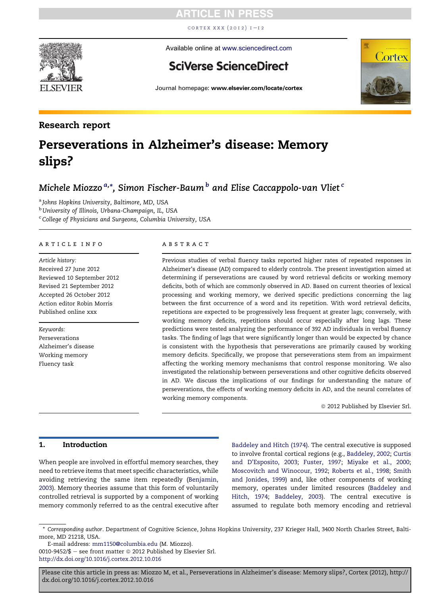CORTEX XXX  $(2012) I - I2$ 



Available online at [www.sciencedirect.com](www.sciencedirect.com/science/journal/00109452)

## **SciVerse ScienceDirect**



Journal homepage: <www.elsevier.com/locate/cortex>

#### Research report

# Perseverations in Alzheimer's disease: Memory slips?

### Michele Miozzo  $^{a,*}$ , Simon Fischer-Baum  $^b$  and Elise Caccappolo-van Vliet  $^{\mathfrak c}$

<sup>a</sup> Johns Hopkins University, Baltimore, MD, USA

<sup>b</sup> University of Illinois, Urbana-Champaign, IL, USA

<sup>c</sup> College of Physicians and Surgeons, Columbia University, USA

#### article info

Article history: Received 27 June 2012 Reviewed 10 September 2012 Revised 21 September 2012 Accepted 26 October 2012 Action editor Robin Morris Published online xxx

Keywords: Perseverations Alzheimer's disease Working memory Fluency task

#### **ABSTRACT**

Previous studies of verbal fluency tasks reported higher rates of repeated responses in Alzheimer's disease (AD) compared to elderly controls. The present investigation aimed at determining if perseverations are caused by word retrieval deficits or working memory deficits, both of which are commonly observed in AD. Based on current theories of lexical processing and working memory, we derived specific predictions concerning the lag between the first occurrence of a word and its repetition. With word retrieval deficits, repetitions are expected to be progressively less frequent at greater lags; conversely, with working memory deficits, repetitions should occur especially after long lags. These predictions were tested analyzing the performance of 392 AD individuals in verbal fluency tasks. The finding of lags that were significantly longer than would be expected by chance is consistent with the hypothesis that perseverations are primarily caused by working memory deficits. Specifically, we propose that perseverations stem from an impairment affecting the working memory mechanisms that control response monitoring. We also investigated the relationship between perseverations and other cognitive deficits observed in AD. We discuss the implications of our findings for understanding the nature of perseverations, the effects of working memory deficits in AD, and the neural correlates of working memory components.

 $@$  2012 Published by Elsevier Srl.

#### 1. Introduction

When people are involved in effortful memory searches, they need to retrieve items that meet specific characteristics, while avoiding retrieving the same item repeatedly [\(Benjamin,](#page-9-0) [2003](#page-9-0)). Memory theories assume that this form of voluntarily controlled retrieval is supported by a component of working memory commonly referred to as the central executive after

[Baddeley and Hitch \(1974\)](#page-9-0). The central executive is supposed to involve frontal cortical regions (e.g., [Baddeley, 2002;](#page-9-0) [Curtis](#page-9-0) [and D'Esposito, 2003](#page-9-0); [Fuster, 1997;](#page-10-0) [Miyake et al., 2000;](#page-10-0) [Moscovitch and Winocour, 1992;](#page-10-0) [Roberts et al., 1998;](#page-10-0) [Smith](#page-10-0) [and Jonides, 1999](#page-10-0)) and, like other components of working memory, operates under limited resources ([Baddeley and](#page-9-0) [Hitch, 1974](#page-9-0); [Baddeley, 2003\)](#page-9-0). The central executive is assumed to regulate both memory encoding and retrieval

E-mail address: [mm1150@columbia.edu](mailto:mm1150@columbia.edu) (M. Miozzo).

0010-9452/\$ - see front matter  $\odot$  2012 Published by Elsevier Srl. <http://dx.doi.org/10.1016/j.cortex.2012.10.016>

<sup>\*</sup> Corresponding author. Department of Cognitive Science, Johns Hopkins University, 237 Krieger Hall, 3400 North Charles Street, Baltimore, MD 21218, USA.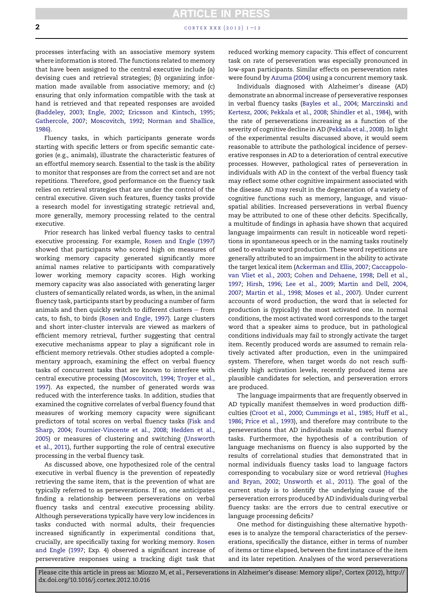#### **2** cortex xxx (2012)  $I-I2$

processes interfacing with an associative memory system where information is stored. The functions related to memory that have been assigned to the central executive include (a) devising cues and retrieval strategies; (b) organizing information made available from associative memory; and (c) ensuring that only information compatible with the task at hand is retrieved and that repeated responses are avoided ([Baddeley, 2003](#page-9-0); [Engle, 2002;](#page-9-0) [Ericsson and Kintsch, 1995](#page-9-0); [Gathercole, 2007;](#page-10-0) [Moscovitch, 1992;](#page-10-0) [Norman and Shallice,](#page-10-0) [1986\)](#page-10-0).

Fluency tasks, in which participants generate words starting with specific letters or from specific semantic categories (e.g., animals), illustrate the characteristic features of an effortful memory search. Essential to the task is the ability to monitor that responses are from the correct set and are not repetitions. Therefore, good performance on the fluency task relies on retrieval strategies that are under the control of the central executive. Given such features, fluency tasks provide a research model for investigating strategic retrieval and, more generally, memory processing related to the central executive.

Prior research has linked verbal fluency tasks to central executive processing. For example, [Rosen and Engle \(1997\)](#page-10-0) showed that participants who scored high on measures of working memory capacity generated significantly more animal names relative to participants with comparatively lower working memory capacity scores. High working memory capacity was also associated with generating larger clusters of semantically related words, as when, in the animal fluency task, participants start by producing a number of farm animals and then quickly switch to different clusters  $-$  from cats, to fish, to birds [\(Rosen and Engle, 1997\)](#page-10-0). Large clusters and short inter-cluster intervals are viewed as markers of efficient memory retrieval, further suggesting that central executive mechanisms appear to play a significant role in efficient memory retrievals. Other studies adopted a complementary approach, examining the effect on verbal fluency tasks of concurrent tasks that are known to interfere with central executive processing [\(Moscovitch, 1994](#page-10-0); [Troyer et al.,](#page-11-0) [1997\)](#page-11-0). As expected, the number of generated words was reduced with the interference tasks. In addition, studies that examined the cognitive correlates of verbal fluency found that measures of working memory capacity were significant predictors of total scores on verbal fluency tasks [\(Fisk and](#page-9-0) [Sharp, 2004](#page-9-0); [Fournier-Vincente et al., 2008;](#page-10-0) [Hedden et al.,](#page-10-0) [2005\)](#page-10-0) or measures of clustering and switching ([Unsworth](#page-11-0) [et al., 2011\)](#page-11-0), further supporting the role of central executive processing in the verbal fluency task.

As discussed above, one hypothesized role of the central executive in verbal fluency is the prevention of repeatedly retrieving the same item, that is the prevention of what are typically referred to as perseverations. If so, one anticipates finding a relationship between perseverations on verbal fluency tasks and central executive processing ability. Although perseverations typically have very low incidences in tasks conducted with normal adults, their frequencies increased significantly in experimental conditions that, crucially, are specifically taxing for working memory. [Rosen](#page-10-0) [and Engle \(1997](#page-10-0); Exp. 4) observed a significant increase of perseverative responses using a tracking digit task that reduced working memory capacity. This effect of concurrent task on rate of perseveration was especially pronounced in low-span participants. Similar effects on perseveration rates were found by [Azuma \(2004\)](#page-9-0) using a concurrent memory task.

Individuals diagnosed with Alzheimer's disease (AD) demonstrate an abnormal increase of perseverative responses in verbal fluency tasks ([Bayles et al., 2004;](#page-9-0) [Marczinski and](#page-10-0) [Kertesz, 2006;](#page-10-0) [Pekkala et al., 2008;](#page-10-0) [Shindler et al., 1984](#page-10-0)), with the rate of perseverations increasing as a function of the severity of cognitive decline in AD [\(Pekkala et al., 2008\)](#page-10-0). In light of the experimental results discussed above, it would seem reasonable to attribute the pathological incidence of perseverative responses in AD to a deterioration of central executive processes. However, pathological rates of perseveration in individuals with AD in the context of the verbal fluency task may reflect some other cognitive impairment associated with the disease. AD may result in the degeneration of a variety of cognitive functions such as memory, language, and visuospatial abilities. Increased perseverations in verbal fluency may be attributed to one of these other deficits. Specifically, a multitude of findings in aphasia have shown that acquired language impairments can result in noticeable word repetitions in spontaneous speech or in the naming tasks routinely used to evaluate word production. These word repetitions are generally attributed to an impairment in the ability to activate the target lexical item ([Ackerman and Ellis, 2007](#page-9-0); [Caccappolo](#page-9-0)[van Vliet et al., 2003;](#page-9-0) [Cohen and Dehaene, 1998;](#page-9-0) [Dell et al.,](#page-9-0) [1997;](#page-9-0) [Hirsh, 1996](#page-10-0); [Lee et al., 2009;](#page-10-0) [Martin and Dell, 2004](#page-10-0), [2007;](#page-10-0) [Martin et al., 1998](#page-10-0); [Moses et al., 2007\)](#page-10-0). Under current accounts of word production, the word that is selected for production is (typically) the most activated one. In normal conditions, the most activated word corresponds to the target word that a speaker aims to produce, but in pathological conditions individuals may fail to strongly activate the target item. Recently produced words are assumed to remain relatively activated after production, even in the unimpaired system. Therefore, when target words do not reach sufficiently high activation levels, recently produced items are plausible candidates for selection, and perseveration errors are produced.

The language impairments that are frequently observed in AD typically manifest themselves in word production difficulties [\(Croot et al., 2000](#page-9-0); [Cummings et al., 1985;](#page-9-0) [Huff et al.,](#page-10-0) [1986;](#page-10-0) [Price et al., 1993\)](#page-10-0), and therefore may contribute to the perseverations that AD individuals make on verbal fluency tasks. Furthermore, the hypothesis of a contribution of language mechanisms on fluency is also supported by the results of correlational studies that demonstrated that in normal individuals fluency tasks load to language factors corresponding to vocabulary size or word retrieval [\(Hughes](#page-10-0) [and Bryan, 2002](#page-10-0); [Unsworth et al., 2011\)](#page-11-0). The goal of the current study is to identify the underlying cause of the perseveration errors produced by AD individuals during verbal fluency tasks: are the errors due to central executive or language processing deficits?

One method for distinguishing these alternative hypotheses is to analyze the temporal characteristics of the perseverations, specifically the distance, either in terms of number of items or time elapsed, between the first instance of the item and its later repetition. Analyses of the word perseverations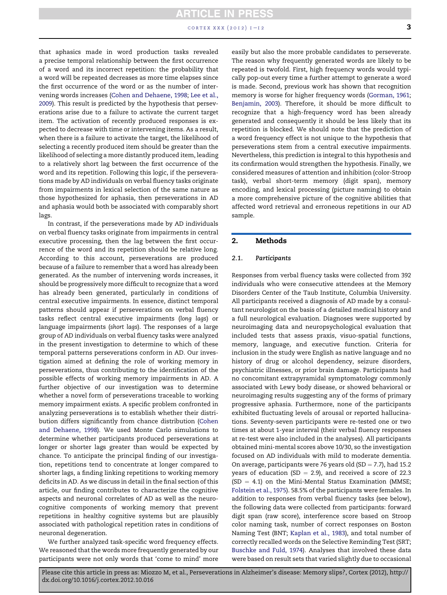#### CORTEX XXX  $(2012)$   $I-I2$  3

that aphasics made in word production tasks revealed a precise temporal relationship between the first occurrence of a word and its incorrect repetition: the probability that a word will be repeated decreases as more time elapses since the first occurrence of the word or as the number of intervening words increases [\(Cohen and Dehaene, 1998;](#page-9-0) [Lee et al.,](#page-10-0) [2009](#page-10-0)). This result is predicted by the hypothesis that perseverations arise due to a failure to activate the current target item. The activation of recently produced responses is expected to decrease with time or intervening items. As a result, when there is a failure to activate the target, the likelihood of selecting a recently produced item should be greater than the likelihood of selecting a more distantly produced item, leading to a relatively short lag between the first occurrence of the word and its repetition. Following this logic, if the perseverations made by AD individuals on verbal fluency tasks originate from impairments in lexical selection of the same nature as those hypothesized for aphasia, then perseverations in AD and aphasia would both be associated with comparably short lags.

In contrast, if the perseverations made by AD individuals on verbal fluency tasks originate from impairments in central executive processing, then the lag between the first occurrence of the word and its repetition should be relative long. According to this account, perseverations are produced because of a failure to remember that a word has already been generated. As the number of intervening words increases, it should be progressively more difficult to recognize that a word has already been generated, particularly in conditions of central executive impairments. In essence, distinct temporal patterns should appear if perseverations on verbal fluency tasks reflect central executive impairments (long lags) or language impairments (short lags). The responses of a large group of AD individuals on verbal fluency tasks were analyzed in the present investigation to determine to which of these temporal patterns perseverations conform in AD. Our investigation aimed at defining the role of working memory in perseverations, thus contributing to the identification of the possible effects of working memory impairments in AD. A further objective of our investigation was to determine whether a novel form of perseverations traceable to working memory impairment exists. A specific problem confronted in analyzing perseverations is to establish whether their distribution differs significantly from chance distribution ([Cohen](#page-9-0) [and Dehaene, 1998](#page-9-0)). We used Monte Carlo simulations to determine whether participants produced perseverations at longer or shorter lags greater than would be expected by chance. To anticipate the principal finding of our investigation, repetitions tend to concentrate at longer compared to shorter lags, a finding linking repetitions to working memory deficits in AD. As we discuss in detail in the final section of this article, our finding contributes to characterize the cognitive aspects and neuronal correlates of AD as well as the neurocognitive components of working memory that prevent repetitions in healthy cognitive systems but are plausibly associated with pathological repetition rates in conditions of neuronal degeneration.

We further analyzed task-specific word frequency effects. We reasoned that the words more frequently generated by our participants were not only words that 'come to mind' more easily but also the more probable candidates to perseverate. The reason why frequently generated words are likely to be repeated is twofold. First, high frequency words would typically pop-out every time a further attempt to generate a word is made. Second, previous work has shown that recognition memory is worse for higher frequency words ([Gorman, 1961;](#page-10-0) [Benjamin, 2003\)](#page-9-0). Therefore, it should be more difficult to recognize that a high-frequency word has been already generated and consequently it should be less likely that its repetition is blocked. We should note that the prediction of a word frequency effect is not unique to the hypothesis that perseverations stem from a central executive impairments. Nevertheless, this prediction is integral to this hypothesis and its confirmation would strengthen the hypothesis. Finally, we considered measures of attention and inhibition (color-Stroop task), verbal short-term memory (digit span), memory encoding, and lexical processing (picture naming) to obtain a more comprehensive picture of the cognitive abilities that affected word retrieval and erroneous repetitions in our AD sample.

#### 2. Methods

#### 2.1. Participants

Responses from verbal fluency tasks were collected from 392 individuals who were consecutive attendees at the Memory Disorders Center of the Taub Institute, Columbia University. All participants received a diagnosis of AD made by a consultant neurologist on the basis of a detailed medical history and a full neurological evaluation. Diagnoses were supported by neuroimaging data and neuropsychological evaluation that included tests that assess praxis, visuo-spatial functions, memory, language, and executive function. Criteria for inclusion in the study were English as native language and no history of drug or alcohol dependency, seizure disorders, psychiatric illnesses, or prior brain damage. Participants had no concomitant extrapyramidal symptomatology commonly associated with Lewy body disease, or showed behavioral or neuroimaging results suggesting any of the forms of primary progressive aphasia. Furthermore, none of the participants exhibited fluctuating levels of arousal or reported hallucinations. Seventy-seven participants were re-tested one or two times at about 1-year interval (their verbal fluency responses at re-test were also included in the analyses). All participants obtained mini-mental scores above 10/30, so the investigation focused on AD individuals with mild to moderate dementia. On average, participants were 76 years old  $(SD = 7.7)$ , had 15.2 years of education (SD  $=$  2.9), and received a score of 22.3  $(SD = 4.1)$  on the Mini-Mental Status Examination (MMSE; [Folstein et al., 1975](#page-10-0)). 58.5% of the participants were females. In addition to responses from verbal fluency tasks (see below), the following data were collected from participants: forward digit span (raw score), interference score based on Stroop color naming task, number of correct responses on Boston Naming Test (BNT; [Kaplan et al., 1983\)](#page-10-0), and total number of correctly recalled words on the Selective Reminding Test (SRT; [Buschke and Fuld, 1974](#page-9-0)). Analyses that involved these data were based on result sets that varied slightly due to occasional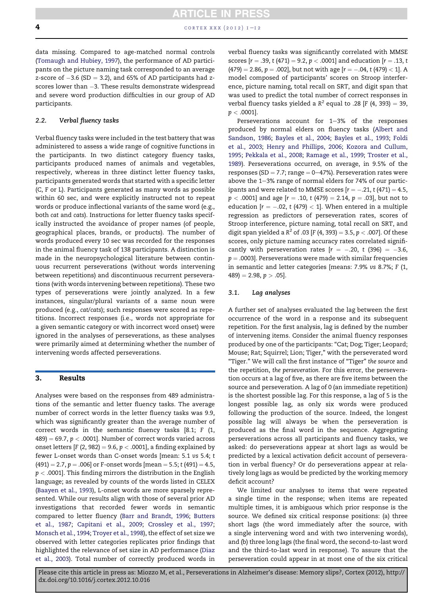**4** cortex xxx (2012)  $I-I2$ 

data missing. Compared to age-matched normal controls ([Tomaugh and Hubiey, 1997](#page-11-0)), the performance of AD participants on the picture naming task corresponded to an average z-score of  $-3.6$  (SD  $= 3.2$ ), and 65% of AD participants had zscores lower than -3. These results demonstrate widespread and severe word production difficulties in our group of AD participants.

#### 2.2. Verbal fluency tasks

Verbal fluency tasks were included in the test battery that was administered to assess a wide range of cognitive functions in the participants. In two distinct category fluency tasks, participants produced names of animals and vegetables, respectively, whereas in three distinct letter fluency tasks, participants generated words that started with a specific letter (C, F or L). Participants generated as many words as possible within 60 sec, and were explicitly instructed not to repeat words or produce inflectional variants of the same word (e.g., both cat and cats). Instructions for letter fluency tasks specifically instructed the avoidance of proper names (of people, geographical places, brands, or products). The number of words produced every 10 sec was recorded for the responses in the animal fluency task of 138 participants. A distinction is made in the neuropsychological literature between continuous recurrent perseverations (without words intervening between repetitions) and discontinuous recurrent perseverations (with words intervening between repetitions). These two types of perseverations were jointly analyzed. In a few instances, singular/plural variants of a same noun were produced (e.g., cat/cats); such responses were scored as repetitions. Incorrect responses (i.e., words not appropriate for a given semantic category or with incorrect word onset) were ignored in the analyses of perseverations, as these analyses were primarily aimed at determining whether the number of intervening words affected perseverations.

#### 3. Results

Analyses were based on the responses from 489 administrations of the semantic and letter fluency tasks. The average number of correct words in the letter fluency tasks was 9.9, which was significantly greater than the average number of correct words in the semantic fluency tasks [8.1; F (1, 489) = 69.7,  $p < .0001$ ]. Number of correct words varied across onset letters [F (2, 982) = 9.6,  $p < .0001$ ], a finding explained by fewer L-onset words than C-onset words [mean: 5.1 vs 5.4; t  $(491) = 2.7, p = .006$  or F-onset words [mean = 5.5; t (491) = 4.5,  $p < .0001$ ]. This finding mirrors the distribution in the English language; as revealed by counts of the words listed in CELEX ([Baayen et al., 1993\)](#page-9-0), L-onset words are more sparsely represented. While our results align with those of several prior AD investigations that recorded fewer words in semantic compared to letter fluency [\(Barr and Brandt, 1996;](#page-9-0) [Butters](#page-9-0) [et al., 1987](#page-9-0); [Capitani et al., 2009;](#page-9-0) [Crossley et al., 1997](#page-9-0); [Monsch et al., 1994;](#page-10-0) [Troyer et al., 1998](#page-11-0)), the effect of set size we observed with letter categories replicates prior findings that highlighted the relevance of set size in AD performance ([Diaz](#page-9-0) [et al., 2003\)](#page-9-0). Total number of correctly produced words in

verbal fluency tasks was significantly correlated with MMSE scores  $[r = .39, t (471) = 9.2, p < .0001]$  and education  $[r = .13, t]$  $(479) = 2.86, p = .002$ ], but not with age [ $r = -.04$ , t (479)  $< 1$ ]. A model composed of participants' scores on Stroop interference, picture naming, total recall on SRT, and digit span that was used to predict the total number of correct responses in verbal fluency tasks yielded a  $R^2$  equal to .28 [F (4, 393) = 39,  $p < .0001$ ].

Perseverations account for  $1-3%$  of the responses produced by normal elders on fluency tasks ([Albert and](#page-9-0) [Sandson, 1986](#page-9-0); [Bayles et al., 2004;](#page-9-0) [Bayles et al., 1993](#page-9-0); [Foldi](#page-9-0) [et al., 2003](#page-9-0); [Henry and Phillips, 2006;](#page-10-0) [Kozora and Cullum,](#page-10-0) [1995;](#page-10-0) [Pekkala et al., 2008;](#page-10-0) [Ramage et al., 1999;](#page-10-0) [Troster et al.,](#page-11-0) [1989\)](#page-11-0). Perseverations occurred, on average, in 9.5% of the responses (SD = 7.7; range =  $0-47%$ ). Perseveration rates were above the  $1-3%$  range of normal elders for 74% of our participants and were related to MMSE scores [ $r = -.21$ , t (471) = 4.5,  $p < .0001$  and age  $[r = .10, t (479) = 2.14, p = .03]$ , but not to education [ $r = -.02$ , t (479)  $< 1$ ]. When entered in a multiple regression as predictors of perseveration rates, scores of Stroop interference, picture naming, total recall on SRT, and digit span yielded a  $R^2$  of .03 [F (4, 393) = 3.5, p < .007]. Of these scores, only picture naming accuracy rates correlated significantly with perseveration rates  $[r = -.20, t (396) = -3.6,$  $p = .0003$ . Perseverations were made with similar frequencies in semantic and letter categories [means: 7.9% vs 8.7%; F (1,  $489$ ) = 2.98,  $p > .05$ ].

#### 3.1. Lag analyses

A further set of analyses evaluated the lag between the first occurrence of the word in a response and its subsequent repetition. For the first analysis, lag is defined by the number of intervening items. Consider the animal fluency responses produced by one of the participants: "Cat; Dog; Tiger; Leopard; Mouse; Rat; Squirrel; Lion; Tiger," with the perseverated word "Tiger." We will call the first instance of "Tiger" the source and the repetition, the perseveration. For this error, the perseveration occurs at a lag of five, as there are five items between the source and perseveration. A lag of 0 (an immediate repetition) is the shortest possible lag. For this response, a lag of 5 is the longest possible lag, as only six words were produced following the production of the source. Indeed, the longest possible lag will always be when the perseveration is produced as the final word in the sequence. Aggregating perseverations across all participants and fluency tasks, we asked: do perseverations appear at short lags as would be predicted by a lexical activation deficit account of perseveration in verbal fluency? Or do perseverations appear at relatively long lags as would be predicted by the working memory deficit account?

We limited our analyses to items that were repeated a single time in the response; when items are repeated multiple times, it is ambiguous which prior response is the source. We defined six critical response positions: (a) three short lags (the word immediately after the source, with a single intervening word and with two intervening words), and (b) three long lags (the final word, the second-to-last word and the third-to-last word in response). To assure that the perseveration could appear in at most one of the six critical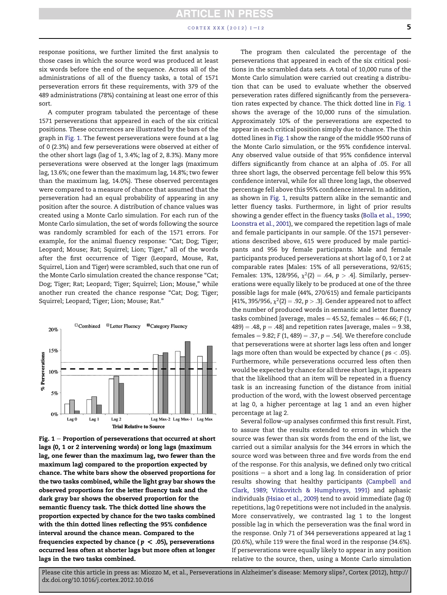#### $CORTEX XXX (2012) 1-I2$  5

response positions, we further limited the first analysis to those cases in which the source word was produced at least six words before the end of the sequence. Across all of the administrations of all of the fluency tasks, a total of 1571 perseveration errors fit these requirements, with 379 of the 489 administrations (78%) containing at least one error of this sort.

A computer program tabulated the percentage of these 1571 perseverations that appeared in each of the six critical positions. These occurrences are illustrated by the bars of the graph in Fig. 1. The fewest perseverations were found at a lag of 0 (2.3%) and few perseverations were observed at either of the other short lags (lag of 1, 3.4%; lag of 2, 8.3%). Many more perseverations were observed at the longer lags (maximum lag, 13.6%; one fewer than the maximum lag, 14.8%; two fewer than the maximum lag, 14.0%). These observed percentages were compared to a measure of chance that assumed that the perseveration had an equal probability of appearing in any position after the source. A distribution of chance values was created using a Monte Carlo simulation. For each run of the Monte Carlo simulation, the set of words following the source was randomly scrambled for each of the 1571 errors. For example, for the animal fluency response: "Cat; Dog; Tiger; Leopard; Mouse; Rat; Squirrel; Lion; Tiger," all of the words after the first occurrence of Tiger (Leopard, Mouse, Rat, Squirrel, Lion and Tiger) were scrambled, such that one run of the Monte Carlo simulation created the chance response "Cat; Dog; Tiger; Rat; Leopard; Tiger; Squirrel; Lion; Mouse," while another run created the chance response "Cat; Dog; Tiger; Squirrel; Leopard; Tiger; Lion; Mouse; Rat."



Fig.  $1$  – Proportion of perseverations that occurred at short lags (0, 1 or 2 intervening words) or long lags (maximum lag, one fewer than the maximum lag, two fewer than the maximum lag) compared to the proportion expected by chance. The white bars show the observed proportions for the two tasks combined, while the light gray bar shows the observed proportions for the letter fluency task and the dark gray bar shows the observed proportion for the semantic fluency task. The thick dotted line shows the proportion expected by chance for the two tasks combined with the thin dotted lines reflecting the 95% confidence interval around the chance mean. Compared to the frequencies expected by chance ( $p < .05$ ), perseverations occurred less often at shorter lags but more often at longer lags in the two tasks combined.

The program then calculated the percentage of the perseverations that appeared in each of the six critical positions in the scrambled data sets. A total of 10,000 runs of the Monte Carlo simulation were carried out creating a distribution that can be used to evaluate whether the observed perseveration rates differed significantly from the perseveration rates expected by chance. The thick dotted line in Fig. 1 shows the average of the 10,000 runs of the simulation. Approximately 10% of the perseverations are expected to appear in each critical position simply due to chance. The thin dotted lines in Fig. 1 show the range of the middle 9500 runs of the Monte Carlo simulation, or the 95% confidence interval. Any observed value outside of that 95% confidence interval differs significantly from chance at an alpha of .05. For all three short lags, the observed percentage fell below this 95% confidence interval, while for all three long lags, the observed percentage fell above this 95% confidence interval. In addition, as shown in Fig. 1, results pattern alike in the semantic and letter fluency tasks. Furthermore, in light of prior results showing a gender effect in the fluency tasks ([Bolla et al., 1990;](#page-9-0) [Loonstra et al., 2001\)](#page-10-0), we compared the repetition lags of male and female participants in our sample. Of the 1571 perseverations described above, 615 were produced by male participants and 956 by female participants. Male and female participants produced perseverations at short lag of 0, 1 or 2 at comparable rates [Males: 15% of all perseverations, 92/615; Females: 13%, 128/956,  $\chi^2(2) = .64$ ,  $p > .4$ ]. Similarly, perseverations were equally likely to be produced at one of the three possible lags for male (44%, 270/615) and female participants [41%, 395/956,  $\chi^2(2) = .92$ ,  $p > .3$ ]. Gender appeared not to affect the number of produced words in semantic and letter fluency tasks combined [average, males  $=$  45.52, females  $=$  46.66; F (1,  $(489) = .48$ ,  $p = .48$ ] and repetition rates [average, males  $= 9.38$ , females = 9.82; F (1, 489) = .37,  $p = .54$ ]. We therefore conclude that perseverations were at shorter lags less often and longer lags more often than would be expected by chance ( $ps < .05$ ). Furthermore, while perseverations occurred less often then would be expected by chance for all three short lags, it appears that the likelihood that an item will be repeated in a fluency task is an increasing function of the distance from initial production of the word, with the lowest observed percentage at lag 0, a higher percentage at lag 1 and an even higher percentage at lag 2.

Several follow-up analyses confirmed this first result. First, to assure that the results extended to errors in which the source was fewer than six words from the end of the list, we carried out a similar analysis for the 344 errors in which the source word was between three and five words from the end of the response. For this analysis, we defined only two critical  $positions - a short and a long lag. In consideration of prior$ results showing that healthy participants ([Campbell and](#page-9-0) [Clark, 1989;](#page-9-0) [Vitkovitch & Humphreys, 1991](#page-11-0)) and aphasic individuals [\(Hsiao et al., 2009](#page-10-0)) tend to avoid immediate (lag 0) repetitions, lag 0 repetitions were not included in the analysis. More conservatively, we contrasted lag 1 to the longest possible lag in which the perseveration was the final word in the response. Only 71 of 344 perseverations appeared at lag 1 (20.6%), while 119 were the final word in the response (34.6%). If perseverations were equally likely to appear in any position relative to the source, then, using a Monte Carlo simulation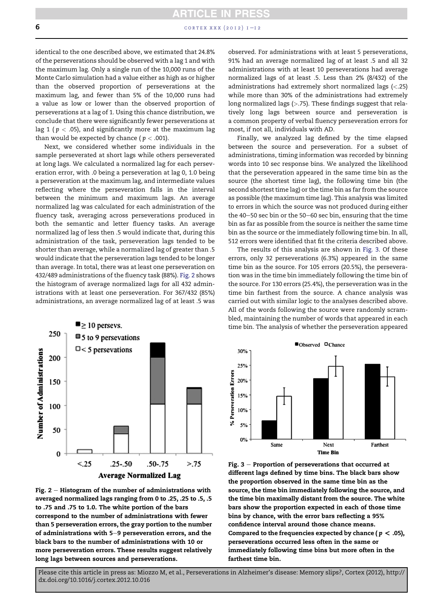### <span id="page-5-0"></span>**RTICLE IN PRESS** 6 cortex xxx  $(2012)$   $I-I2$

identical to the one described above, we estimated that 24.8% of the perseverations should be observed with a lag 1 and with the maximum lag. Only a single run of the 10,000 runs of the Monte Carlo simulation had a value either as high as or higher than the observed proportion of perseverations at the maximum lag, and fewer than 5% of the 10,000 runs had a value as low or lower than the observed proportion of perseverations at a lag of 1. Using this chance distribution, we conclude that there were significantly fewer perseverations at lag 1 ( $p < .05$ ), and significantly more at the maximum lag than would be expected by chance ( $p < .001$ ).

Next, we considered whether some individuals in the sample perseverated at short lags while others perseverated at long lags. We calculated a normalized lag for each perseveration error, with .0 being a perseveration at lag 0, 1.0 being a perseveration at the maximum lag, and intermediate values reflecting where the perseveration falls in the interval between the minimum and maximum lags. An average normalized lag was calculated for each administration of the fluency task, averaging across perseverations produced in both the semantic and letter fluency tasks. An average normalized lag of less then .5 would indicate that, during this administration of the task, perseveration lags tended to be shorter than average, while a normalized lag of greater than .5 would indicate that the perseveration lags tended to be longer than average. In total, there was at least one perseveration on 432/489 administrations of the fluency task (88%). Fig. 2 shows the histogram of average normalized lags for all 432 administrations with at least one perseveration. For 367/432 (85%) administrations, an average normalized lag of at least .5 was



Fig.  $2$  – Histogram of the number of administrations with averaged normalized lags ranging from 0 to .25, .25 to .5, .5 to .75 and .75 to 1.0. The white portion of the bars correspond to the number of administrations with fewer than 5 perseveration errors, the gray portion to the number of administrations with  $5-9$  perseveration errors, and the black bars to the number of administrations with 10 or more perseveration errors. These results suggest relatively long lags between sources and perseverations.

observed. For administrations with at least 5 perseverations, 91% had an average normalized lag of at least .5 and all 32 administrations with at least 10 perseverations had average normalized lags of at least .5. Less than 2% (8/432) of the administrations had extremely short normalized lags (<.25) while more than 30% of the administrations had extremely long normalized lags (>.75). These findings suggest that relatively long lags between source and perseveration is a common property of verbal fluency perseveration errors for most, if not all, individuals with AD.

Finally, we analyzed lag defined by the time elapsed between the source and perseveration. For a subset of administrations, timing information was recorded by binning words into 10 sec response bins. We analyzed the likelihood that the perseveration appeared in the same time bin as the source (the shortest time lag), the following time bin (the second shortest time lag) or the time bin as far from the source as possible (the maximum time lag). This analysis was limited to errors in which the source was not produced during either the  $40-50$  sec bin or the  $50-60$  sec bin, ensuring that the time bin as far as possible from the source is neither the same time bin as the source or the immediately following time bin. In all, 512 errors were identified that fit the criteria described above.

The results of this analysis are shown in Fig. 3. Of these errors, only 32 perseverations (6.3%) appeared in the same time bin as the source. For 105 errors (20.5%), the perseveration was in the time bin immediately following the time bin of the source. For 130 errors (25.4%), the perseveration was in the time bin farthest from the source. A chance analysis was carried out with similar logic to the analyses described above. All of the words following the source were randomly scrambled, maintaining the number of words that appeared in each time bin. The analysis of whether the perseveration appeared



Fig.  $3$  – Proportion of perseverations that occurred at different lags defined by time bins. The black bars show the proportion observed in the same time bin as the source, the time bin immediately following the source, and the time bin maximally distant from the source. The white bars show the proportion expected in each of those time bins by chance, with the error bars reflecting a 95% confidence interval around those chance means. Compared to the frequencies expected by chance ( $p < .05$ ), perseverations occurred less often in the same or immediately following time bins but more often in the farthest time bin.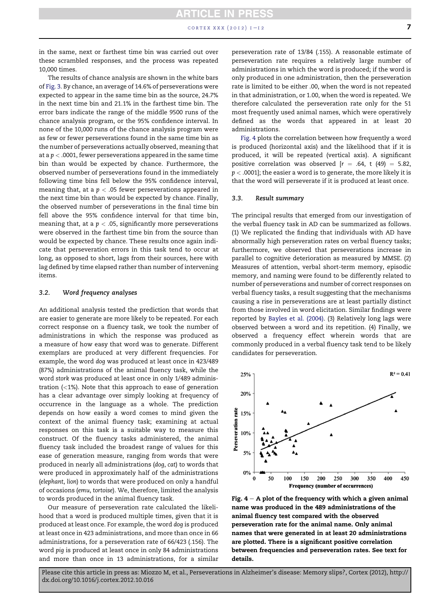in the same, next or farthest time bin was carried out over these scrambled responses, and the process was repeated 10,000 times.

The results of chance analysis are shown in the white bars of [Fig. 3.](#page-5-0) By chance, an average of 14.6% of perseverations were expected to appear in the same time bin as the source, 24.7% in the next time bin and 21.1% in the farthest time bin. The error bars indicate the range of the middle 9500 runs of the chance analysis program, or the 95% confidence interval. In none of the 10,000 runs of the chance analysis program were as few or fewer perseverations found in the same time bin as the number of perseverations actually observed, meaning that at a  $p < 0.0001$ , fewer perseverations appeared in the same time bin than would be expected by chance. Furthermore, the observed number of perseverations found in the immediately following time bins fell below the 95% confidence interval, meaning that, at a  $p < .05$  fewer perseverations appeared in the next time bin than would be expected by chance. Finally, the observed number of perseverations in the final time bin fell above the 95% confidence interval for that time bin, meaning that, at a  $p < .05$ , significantly more perseverations were observed in the farthest time bin from the source than would be expected by chance. These results once again indicate that perseveration errors in this task tend to occur at long, as opposed to short, lags from their sources, here with lag defined by time elapsed rather than number of intervening items.

#### 3.2. Word frequency analyses

An additional analysis tested the prediction that words that are easier to generate are more likely to be repeated. For each correct response on a fluency task, we took the number of administrations in which the response was produced as a measure of how easy that word was to generate. Different exemplars are produced at very different frequencies. For example, the word dog was produced at least once in 423/489 (87%) administrations of the animal fluency task, while the word stork was produced at least once in only 1/489 administration (<1%). Note that this approach to ease of generation has a clear advantage over simply looking at frequency of occurrence in the language as a whole. The prediction depends on how easily a word comes to mind given the context of the animal fluency task; examining at actual responses on this task is a suitable way to measure this construct. Of the fluency tasks administered, the animal fluency task included the broadest range of values for this ease of generation measure, ranging from words that were produced in nearly all administrations (dog, cat) to words that were produced in approximately half of the administrations (elephant, lion) to words that were produced on only a handful of occasions (emu, tortoise). We, therefore, limited the analysis to words produced in the animal fluency task.

Our measure of perseveration rate calculated the likelihood that a word is produced multiple times, given that it is produced at least once. For example, the word dog is produced at least once in 423 administrations, and more than once in 66 administrations, for a perseveration rate of 66/423 (.156). The word pig is produced at least once in only 84 administrations and more than once in 13 administrations, for a similar perseveration rate of 13/84 (.155). A reasonable estimate of perseveration rate requires a relatively large number of administrations in which the word is produced; if the word is only produced in one administration, then the perseveration rate is limited to be either .00, when the word is not repeated in that administration, or 1.00, when the word is repeated. We therefore calculated the perseveration rate only for the 51 most frequently used animal names, which were operatively defined as the words that appeared in at least 20 administrations.

Fig. 4 plots the correlation between how frequently a word is produced (horizontal axis) and the likelihood that if it is produced, it will be repeated (vertical axis). A significant positive correlation was observed  $[r = .64, t (49) = 5.82,$  $p < .0001$ ; the easier a word is to generate, the more likely it is that the word will perseverate if it is produced at least once.

#### 3.3. Result summary

The principal results that emerged from our investigation of the verbal fluency task in AD can be summarized as follows. (1) We replicated the finding that individuals with AD have abnormally high perseveration rates on verbal fluency tasks; furthermore, we observed that perseverations increase in parallel to cognitive deterioration as measured by MMSE. (2) Measures of attention, verbal short-term memory, episodic memory, and naming were found to be differently related to number of perseverations and number of correct responses on verbal fluency tasks, a result suggesting that the mechanisms causing a rise in perseverations are at least partially distinct from those involved in word elicitation. Similar findings were reported by [Bayles et al. \(2004\)](#page-9-0). (3) Relatively long lags were observed between a word and its repetition. (4) Finally, we observed a frequency effect wherein words that are commonly produced in a verbal fluency task tend to be likely candidates for perseveration.



Fig.  $4 - A$  plot of the frequency with which a given animal name was produced in the 489 administrations of the animal fluency test compared with the observed perseveration rate for the animal name. Only animal names that were generated in at least 20 administrations are plotted. There is a significant positive correlation between frequencies and perseveration rates. See text for details.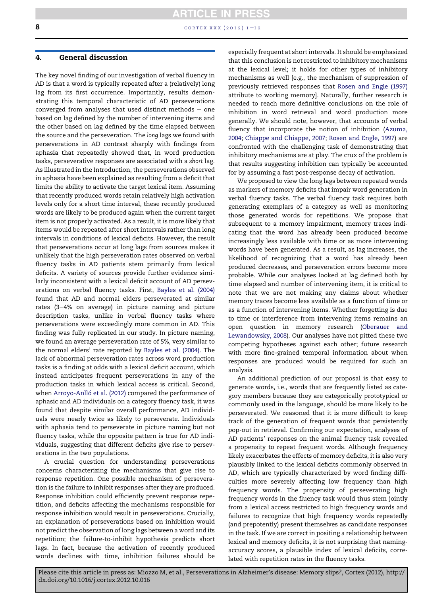8 cortex xxx  $(2012)$   $I-I2$ 

#### 4. General discussion

The key novel finding of our investigation of verbal fluency in AD is that a word is typically repeated after a (relatively) long lag from its first occurrence. Importantly, results demonstrating this temporal characteristic of AD perseverations converged from analyses that used distinct methods  $-$  one based on lag defined by the number of intervening items and the other based on lag defined by the time elapsed between the source and the perseveration. The long lags we found with perseverations in AD contrast sharply with findings from aphasia that repeatedly showed that, in word production tasks, perseverative responses are associated with a short lag. As illustrated in the Introduction, the perseverations observed in aphasia have been explained as resulting from a deficit that limits the ability to activate the target lexical item. Assuming that recently produced words retain relatively high activation levels only for a short time interval, these recently produced words are likely to be produced again when the current target item is not properly activated. As a result, it is more likely that items would be repeated after short intervals rather than long intervals in conditions of lexical deficits. However, the result that perseverations occur at long lags from sources makes it unlikely that the high perseveration rates observed on verbal fluency tasks in AD patients stem primarily from lexical deficits. A variety of sources provide further evidence similarly inconsistent with a lexical deficit account of AD perseverations on verbal fluency tasks. First, [Bayles et al. \(2004\)](#page-9-0) found that AD and normal elders perseverated at similar rates (3-4% on average) in picture naming and picture description tasks, unlike in verbal fluency tasks where perseverations were exceedingly more common in AD. This finding was fully replicated in our study. In picture naming, we found an average perseveration rate of 5%, very similar to the normal elders' rate reported by [Bayles et al. \(2004\).](#page-9-0) The lack of abnormal perseveration rates across word production tasks is a finding at odds with a lexical deficit account, which instead anticipates frequent perseverations in any of the production tasks in which lexical access is critical. Second, when Arroyo-Anlló et al. (2012) compared the performance of aphasic and AD individuals on a category fluency task, it was found that despite similar overall performance, AD individuals were nearly twice as likely to perseverate. Individuals with aphasia tend to perseverate in picture naming but not fluency tasks, while the opposite pattern is true for AD individuals, suggesting that different deficits give rise to perseverations in the two populations.

A crucial question for understanding perseverations concerns characterizing the mechanisms that give rise to response repetition. One possible mechanism of perseveration is the failure to inhibit responses after they are produced. Response inhibition could efficiently prevent response repetition, and deficits affecting the mechanisms responsible for response inhibition would result in perseverations. Crucially, an explanation of perseverations based on inhibition would not predict the observation of long lags between a word and its repetition; the failure-to-inhibit hypothesis predicts short lags. In fact, because the activation of recently produced words declines with time, inhibition failures should be

especially frequent at short intervals. It should be emphasized that this conclusion is not restricted to inhibitory mechanisms at the lexical level; it holds for other types of inhibitory mechanisms as well [e.g., the mechanism of suppression of previously retrieved responses that [Rosen and Engle \(1997\)](#page-10-0) attribute to working memory]. Naturally, further research is needed to reach more definitive conclusions on the role of inhibition in word retrieval and word production more generally. We should note, however, that accounts of verbal fluency that incorporate the notion of inhibition [\(Azuma,](#page-9-0) [2004;](#page-9-0) [Chiappe and Chiappe, 2007;](#page-9-0) [Rosen and Engle, 1997\)](#page-10-0) are confronted with the challenging task of demonstrating that inhibitory mechanisms are at play. The crux of the problem is that results suggesting inhibition can typically be accounted for by assuming a fast post-response decay of activation.

We proposed to view the long lags between repeated words as markers of memory deficits that impair word generation in verbal fluency tasks. The verbal fluency task requires both generating exemplars of a category as well as monitoring those generated words for repetitions. We propose that subsequent to a memory impairment, memory traces indicating that the word has already been produced become increasingly less available with time or as more intervening words have been generated. As a result, as lag increases, the likelihood of recognizing that a word has already been produced decreases, and perseveration errors become more probable. While our analyses looked at lag defined both by time elapsed and number of intervening item, it is critical to note that we are not making any claims about whether memory traces become less available as a function of time or as a function of intervening items. Whether forgetting is due to time or interference from intervening items remains an open question in memory research ([Oberauer and](#page-10-0) [Lewandowsky, 2008](#page-10-0)). Our analyses have not pitted these two competing hypotheses against each other; future research with more fine-grained temporal information about when responses are produced would be required for such an analysis.

An additional prediction of our proposal is that easy to generate words, i.e., words that are frequently listed as category members because they are categorically prototypical or commonly used in the language, should be more likely to be perseverated. We reasoned that it is more difficult to keep track of the generation of frequent words that persistently pop-out in retrieval. Confirming our expectation, analyses of AD patients' responses on the animal fluency task revealed a propensity to repeat frequent words. Although frequency likely exacerbates the effects of memory deficits, it is also very plausibly linked to the lexical deficits commonly observed in AD, which are typically characterized by word finding difficulties more severely affecting low frequency than high frequency words. The propensity of perseverating high frequency words in the fluency task would thus stem jointly from a lexical access restricted to high frequency words and failures to recognize that high frequency words repeatedly (and prepotently) present themselves as candidate responses in the task. If we are correct in positing a relationship between lexical and memory deficits, it is not surprising that namingaccuracy scores, a plausible index of lexical deficits, correlated with repetition rates in the fluency tasks.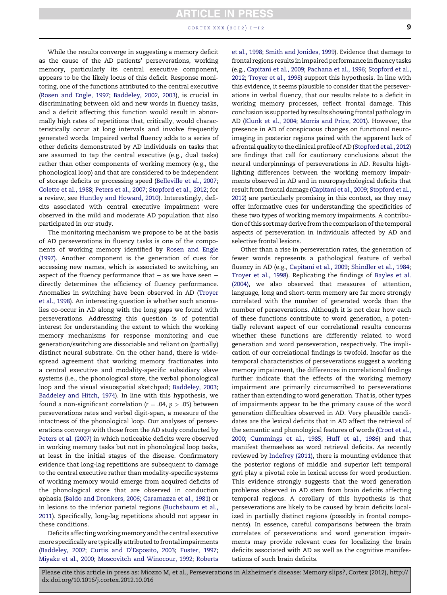$\text{CORTEX XXX}$  (2012)  $1 - 12$  9

While the results converge in suggesting a memory deficit as the cause of the AD patients' perseverations, working memory, particularly its central executive component, appears to be the likely locus of this deficit. Response monitoring, one of the functions attributed to the central executive [\(Rosen and Engle, 1997](#page-10-0); [Baddeley, 2002](#page-9-0), [2003](#page-9-0)), is crucial in discriminating between old and new words in fluency tasks, and a deficit affecting this function would result in abnormally high rates of repetitions that, critically, would characteristically occur at long intervals and involve frequently generated words. Impaired verbal fluency adds to a series of other deficits demonstrated by AD individuals on tasks that are assumed to tap the central executive (e.g., dual tasks) rather than other components of working memory (e.g., the phonological loop) and that are considered to be independent of storage deficits or processing speed [\(Belleville et al., 2007;](#page-9-0) [Colette et al., 1988;](#page-9-0) [Peters et al., 2007](#page-10-0); [Stopford et al., 2012](#page-10-0); for a review, see [Huntley and Howard, 2010](#page-10-0)). Interestingly, deficits associated with central executive impairment were observed in the mild and moderate AD population that also participated in our study.

The monitoring mechanism we propose to be at the basis of AD perseverations in fluency tasks is one of the components of working memory identified by [Rosen and Engle](#page-10-0) [\(1997\)](#page-10-0). Another component is the generation of cues for accessing new names, which is associated to switching, an aspect of the fluency performance that  $-$  as we have seen  $$ directly determines the efficiency of fluency performance. Anomalies in switching have been observed in AD [\(Troyer](#page-11-0) [et al., 1998](#page-11-0)). An interesting question is whether such anomalies co-occur in AD along with the long gaps we found with perseverations. Addressing this question is of potential interest for understanding the extent to which the working memory mechanisms for response monitoring and cue generation/switching are dissociable and reliant on (partially) distinct neural substrate. On the other hand, there is widespread agreement that working memory fractionates into a central executive and modality-specific subsidiary slave systems (i.e., the phonological store, the verbal phonological loop and the visual visuospatial sketchpad; [Baddeley, 2003;](#page-9-0) [Baddeley and Hitch, 1974\)](#page-9-0). In line with this hypothesis, we found a non-significant correlation ( $r = .04$ ,  $p > .05$ ) between perseverations rates and verbal digit-span, a measure of the intactness of the phonological loop. Our analyses of perseverations converge with those from the AD study conducted by [Peters et al. \(2007\)](#page-10-0) in which noticeable deficits were observed in working memory tasks but not in phonological loop tasks, at least in the initial stages of the disease. Confirmatory evidence that long-lag repetitions are subsequent to damage to the central executive rather than modality-specific systems of working memory would emerge from acquired deficits of the phonological store that are observed in conduction aphasia [\(Baldo and Dronkers, 2006](#page-9-0); [Caramazza et al., 1981](#page-9-0)) or in lesions to the inferior parietal regions ([Buchsbaum et al.,](#page-9-0) [2011](#page-9-0)). Specifically, long-lag repetitions should not appear in these conditions.

Deficits affecting workingmemory and the central executive more specifically are typically attributed to frontal impairments [\(Baddeley, 2002;](#page-9-0) [Curtis and D'Esposito, 2003](#page-9-0); [Fuster, 1997;](#page-10-0) [Miyake et al., 2000](#page-10-0); [Moscovitch and Winocour, 1992](#page-10-0); [Roberts](#page-10-0) [et al., 1998](#page-10-0); [Smith and Jonides, 1999](#page-10-0)). Evidence that damage to frontal regions results in impaired performance in fluency tasks (e.g., [Capitani et al., 2009](#page-9-0); [Pachana et al., 1996](#page-10-0); [Stopford et al.,](#page-10-0) [2012](#page-10-0); [Troyer et al., 1998\)](#page-11-0) support this hypothesis. In line with this evidence, it seems plausible to consider that the perseverations in verbal fluency, that our results relate to a deficit in working memory processes, reflect frontal damage. This conclusion is supported by results showing frontal pathology in AD [\(Klunk et al., 2004;](#page-10-0) [Morris and Price, 2001\)](#page-10-0). However, the presence in AD of conspicuous changes on functional neuroimaging in posterior regions paired with the apparent lack of a frontal quality to the clinical profile of AD ([Stopford et al., 2012\)](#page-10-0) are findings that call for cautionary conclusions about the neural underpinnings of perseverations in AD. Results highlighting differences between the working memory impairments observed in AD and in neuropsychological deficits that result from frontal damage ([Capitani et al., 2009](#page-9-0); [Stopford et al.,](#page-10-0) [2012](#page-10-0)) are particularly promising in this context, as they may offer informative cues for understanding the specificities of these two types of working memory impairments. A contribution of this sortmay derive from the comparison of the temporal aspects of perseveration in individuals affected by AD and selective frontal lesions.

Other than a rise in perseveration rates, the generation of fewer words represents a pathological feature of verbal fluency in AD (e.g., [Capitani et al., 2009](#page-9-0); [Shindler et al., 1984;](#page-10-0) [Troyer et al., 1998\)](#page-11-0). Replicating the findings of [Bayles et al.](#page-9-0) [\(2004\)](#page-9-0), we also observed that measures of attention, language, long and short-term memory are far more strongly correlated with the number of generated words than the number of perseverations. Although it is not clear how each of these functions contribute to word generation, a potentially relevant aspect of our correlational results concerns whether these functions are differently related to word generation and word perseveration, respectively. The implication of our correlational findings is twofold. Insofar as the temporal characteristics of perseverations suggest a working memory impairment, the differences in correlational findings further indicate that the effects of the working memory impairment are primarily circumscribed to perseverations rather than extending to word generation. That is, other types of impairments appear to be the primary cause of the word generation difficulties observed in AD. Very plausible candidates are the lexical deficits that in AD affect the retrieval of the semantic and phonological features of words [\(Croot et al.,](#page-9-0) [2000](#page-9-0); [Cummings et al., 1985](#page-9-0); [Huff et al., 1986\)](#page-10-0) and that manifest themselves as word retrieval deficits. As recently reviewed by [Indefrey \(2011\),](#page-10-0) there is mounting evidence that the posterior regions of middle and superior left temporal gyri play a pivotal role in lexical access for word production. This evidence strongly suggests that the word generation problems observed in AD stem from brain deficits affecting temporal regions. A corollary of this hypothesis is that perseverations are likely to be caused by brain deficits localized in partially distinct regions (possibly in frontal components). In essence, careful comparisons between the brain correlates of perseverations and word generation impairments may provide relevant cues for localizing the brain deficits associated with AD as well as the cognitive manifestations of such brain deficits.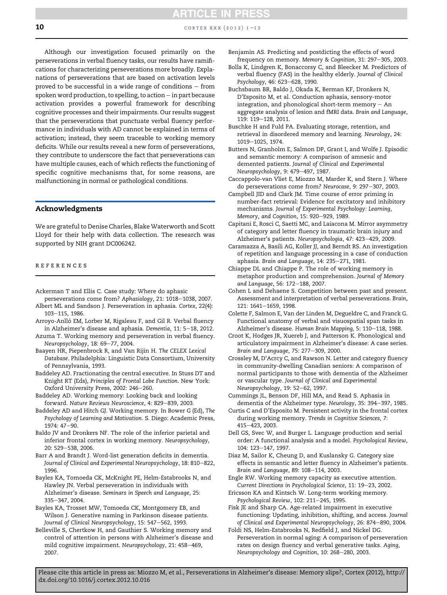<span id="page-9-0"></span>Although our investigation focused primarily on the perseverations in verbal fluency tasks, our results have ramifications for characterizing perseverations more broadly. Explanations of perseverations that are based on activation levels proved to be successful in a wide range of conditions  $-$  from spoken word production, to spelling, to action  $-$  in part because activation provides a powerful framework for describing cognitive processes and their impairments. Our results suggest that the perseverations that punctuate verbal fluency performance in individuals with AD cannot be explained in terms of activation; instead, they seem traceable to working memory deficits. While our results reveal a new form of perseverations, they contribute to underscore the fact that perseverations can have multiple causes, each of which reflects the functioning of specific cognitive mechanisms that, for some reasons, are malfunctioning in normal or pathological conditions.

#### Acknowledgments

We are grateful to Denise Charles, Blake Waterworth and Scott Lloyd for their help with data collection. The research was supported by NIH grant DC006242.

#### references

- Ackerman T and Ellis C. Case study: Where do aphasic
- perseverations come from? Aphasiology, 21: 1018-1038, 2007. Albert ML and Sandson J. Perseveration in aphasia. Cortex, 22(4): 103-115, 1986.
- Arroyo-Anlló EM, Lorber M, Rigaleau F, and Gil R. Verbal fluency in Alzheimer's disease and aphasia. Dementia, 11: 5-18, 2012.
- Azuma T. Working memory and perseveration in verbal fluency. Neuropsychology, 18: 69-77, 2004.
- Baayen HR, Piepenbrock R, and Van Rijin H. The CELEX Lexical Database. Philadelphia: Linguistic Data Consortium, University of Pennsylvania, 1993.
- Baddeley AD. Fractionating the central executive. In Stuss DT and Knight RT (Eds), Principles of Frontal Lobe Function. New York: Oxford University Press, 2002: 246-260.
- Baddeley AD. Working memory: Looking back and looking forward. Nature Reviews Neuroscience, 4: 829-839, 2003.
- Baddeley AD and Hitch GJ. Working memory. In Bower G (Ed), The Psychology of Learning and Motivation. S. Diego: Academic Press, 1974: 47-90.
- Baldo JV and Dronkers NF. The role of the inferior parietal and inferior frontal cortex in working memory. Neuropsychology, 20: 529-538, 2006.
- Barr A and Brandt J. Word-list generation deficits in dementia. Journal of Clinical and Experimental Neuropsychology, 18: 810-822, 1996.
- Bayles KA, Tomoeda CK, McKnight PE, Helm-Estabrooks N, and Hawley JN. Verbal perseveration in individuals with Alzheimer's disease. Seminars in Speech and Language, 25: 335-347, 2004.
- Bayles KA, Trosset MW, Tomoeda CK, Montgomery EB, and Wilson J. Generative naming in Parkinson disease patients. Journal of Clinical Neuropsychology, 15: 547-562, 1993.
- Belleville S, Chertkow H, and Gauthier S. Working memory and control of attention in persons with Alzheimer's disease and mild cognitive impairment. Neuropsychology, 21: 458-469, 2007.
- Benjamin AS. Predicting and postdicting the effects of word frequency on memory. Memory & Cognition, 31: 297-305, 2003.
- Bolla K, Lindgren K, Bonaccorsy C, and Bleecker M. Predictors of verbal fluency (FAS) in the healthy elderly. Journal of Clinical Psychology, 46: 623-628, 1990.
- Buchsbaum BR, Baldo J, Okada K, Berman KF, Dronkers N, D'Esposito M, et al. Conduction aphasia, sensory-motor integration, and phonological short-term memory  $-$  An aggregate analysis of lesion and fMRI data. Brain and Language, 119: 119-128, 2011.
- Buschke H and Fuld PA. Evaluating storage, retention, and retrieval in disordered memory and learning. Neurology, 24: 1019-1025, 1974.
- Butters N, Granholm E, Salmon DP, Grant I, and Wolfe J. Episodic and semantic memory: A comparison of amnesic and demented patients. Journal of Clinical and Experimental Neuropsychology, 9: 479-497, 1987.
- Caccappolo-van Vliet E, Miozzo M, Marder K, and Stern J. Where do perseverations come from? Neurocase, 9: 297-307, 2003.
- Campbell JID and Clark JM. Time course of error priming in number-fact retrieval: Evidence for excitatory and inhibitory mechanisms. Journal of Experimental Psychology: Learning, Memory, and Cognition, 15: 920-929, 1989.
- Capitani E, Rosci C, Saetti MC, and Laiacona M. Mirror asymmetry of category and letter fluency in traumatic brain injury and Alzheimer's patients. Neuropsychologia, 47: 423-429, 2009.
- Caramazza A, Basili AG, Koller JJ, and Berndt RS. An investigation of repetition and language processing in a case of conduction aphasia. Brain and Language, 14: 235-271, 1981.
- Chiappe DL and Chiappe P. The role of working memory in metaphor production and comprehension. Journal of Memory and Language, 56: 172-188, 2007.
- Cohen L and Dehaene S. Competition between past and present. Assessment and interpretation of verbal perseverations. Brain, 121: 1641-1659, 1998.
- Colette F, Salmon E, Van der Linden M, Degueldre C, and Franck G. Functional anatomy of verbal and visuospatial span tasks in Alzheimer's disease. Human Brain Mapping, 5: 110-118, 1988.
- Croot K, Hodges JR, Xuereb J, and Patterson K. Phonological and articulatory impairment in Alzheimer's disease: A case series. Brain and Language, 75: 277-309, 2000.
- Crossley M, D'Acrcy C, and Rawson N. Letter and category fluency in community-dwelling Canadian seniors: A comparison of normal participants to those with dementia of the Alzheimer or vascular type. Journal of Clinical and Experimental Neuropsychology, 19: 52-62, 1997.
- Cummings JL, Benson DF, Hill MA, and Read S. Aphasia in dementia of the Alzheimer type. Neurology, 35: 394-397, 1985.
- Curtis C and D'Esposito M. Persistent activity in the frontal cortex during working memory. Trends in Cognitive Sciences, 7: 415e423, 2003.
- Dell GS, Svec W, and Burger L. Language production and serial order: A functional analysis and a model. Psychological Review, 104: 123-147, 1997.
- Diaz M, Sailor K, Cheung D, and Kuslansky G. Category size effects in semantic and letter fluency in Alzheimer's patients. Brain and Language, 89: 108-114, 2003.
- Engle RW. Working memory capacity as executive attention. Current Directions in Psychological Science, 11: 19-23, 2002.
- Ericsson KA and Kintsch W. Long-term working memory. Psychological Review, 102: 211-245, 1995.
- Fisk JE and Sharp CA. Age-related impairment in executive functioning: Updating, inhibition, shifting, and access. Journal of Clinical and Experimental Neuropsychology, 26: 874-890, 2004.
- Foldi NS, Helm-Estabrooks N, Redfield J, and Nickel DG. Perseveration in normal aging: A comparison of perseveration rates on design fluency and verbal generative tasks. Aging, Neuropsychology and Cognition, 10: 268-280, 2003.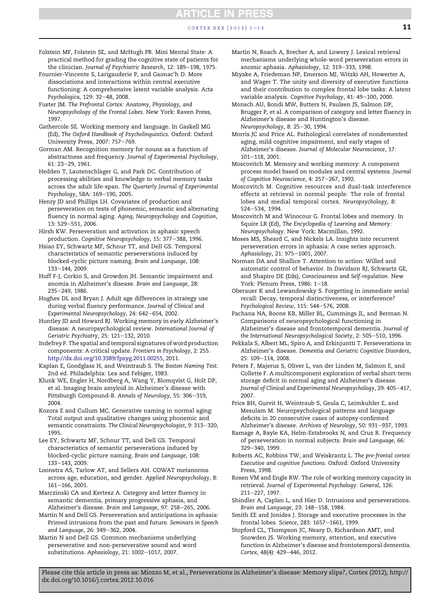#### CORTEX XXX  $(2012)$   $I-I2$  11

- <span id="page-10-0"></span>Folstein MF, Folstein SE, and McHugh PR. Mini Mental State: A practical method for grading the cognitive state of patients for the clinician. Journal of Psychiatric Research, 12: 189-198, 1975.
- Fournier-Vincente S, Larigauderie P, and Gaonac'h D. More dissociations and interactions within central executive functioning: A comprehensive latent variable analysis. Acta Psychologica, 129: 32-48, 2008.
- Fuster JM. The Prefrontal Cortex: Anatomy, Physiology, and Neuropsychology of the Frontal Lobes. New York: Raven Press, 1997.
- Gathercole SE. Working memory and language. In Gaskell MG (Ed), The Oxford Handbook of Psycholinguistics. Oxford: Oxford University Press, 2007: 757-769.
- Gorman AM. Recognition memory for nouns as a function of abstractness and frequency. Journal of Experimental Psychology, 61: 23-29, 1961.
- Hedden T, Lautenschlager G, and Park DC. Contribution of processing abilities and knowledge to verbal memory tasks across the adult life-span. The Quarterly Journal of Experimental Psychology, 58A: 169-190, 2005.
- Henry JD and Phillips LH. Covariates of production and perseveration on tests of phonemic, semantic and alternating fluency in normal aging. Aging, Neuropsychology and Cognition, 13: 529-551, 2006.
- Hirsh KW. Perseveration and activation in aphasic speech production. Cognitive Neuropsychology, 15: 377-388, 1996.
- Hsiao EY, Schwartz MF, Schnur TT, and Dell GS. Temporal characteristics of semantic perseverations induced by blocked-cyclic picture naming. Brain and Language, 108: 133-144, 2009.
- Huff F-J, Corkin S, and Growdon JH. Semantic impairment and anomia in Alzheimer's disease. Brain and Language, 28: 235-249, 1986.
- Hughes DL and Bryan J. Adult age differences in strategy use during verbal fluency performance. Journal of Clinical and Experimental Neuropsychology, 24: 642-654, 2002.
- Huntley JD and Howard RJ. Working memory in early Alzheimer's disease: A neuropsychological review. International Journal of Geriatric Psychiatry, 25: 121-132, 2010.
- Indefrey P. The spatial and temporal signatures of word production components: A critical update. Frontiers in Psychology, 2: 255. <http://dx.doi.org/10.3389/fpsyg.2011.00255>, 2011.
- Kaplan E, Goodglass H, and Weintraub S. The Boston Naming Test. 2nd ed. Philadelphia: Lea and Febiger, 1983.
- Klunk WE, Engler H, Nordberg A, Wang Y, Blomqvist G, Holt DP, et al. Imaging brain amyloid in Alzheimer's disease with Pittsburgh Compound-B. Annals of Neurology, 55: 306-319, 2004.
- Kozora E and Cullum MC. Generative naming in normal aging: Total output and qualitative changes using phonemic and semantic constraints. The Clinical Neuropsychologist, 9: 313-320, 1995.
- Lee EY, Schwartz MF, Schnur TT, and Dell GS. Temporal characteristics of semantic perseverations induced by blocked-cyclic picture naming. Brain and Language, 108: 133-143, 2009.
- Loonstra AS, Tarlow AT, and Sellers AH. COWAT metanorms across age, education, and gender. Applied Neuropsychology, 8:  $161 - 166$ , 2001.
- Marczinski CA and Kertesz A. Category and letter fluency in semantic dementia, primary progressive aphasia, and Alzheimer's disease. Brain and Language, 97: 258-265, 2006.
- Martin N and Dell GS. Perseveration and anticipations in aphasia: Primed intrusions from the past and future. Seminars in Speech and Language, 26: 349-362, 2004.

Martin N and Dell GS. Common mechanisms underlying perseverative and non-perseverative sound and word substitutions. Aphasiology, 21: 1002-1017, 2007.

- Martin N, Roach A, Brecher A, and Lowery J. Lexical retrieval mechanisms underlying whole-word perseveration errors in anomic aphasia. Aphasiology, 12: 319-333, 1998.
- Miyake A, Friedeman NP, Emerson MJ, Witzki AH, Howerter A, and Wager T. The unity and diversity of executive functions and their contribution to complex frontal lobe tasks: A latent variable analysis. Cognitive Psychology, 41: 49-100, 2000.
- Monsch AU, Bondi MW, Butters N, Paulsen JS, Salmon DP, Brugger P, et al. A comparison of category and letter fluency in Alzheimer's disease and Huntington's disease. Neuropsychology, 8: 25-30, 1994.
- Morris JC and Price AL. Pathological correlates of nondemented aging, mild cognitive impairment, and early stages of Alzheimer's disease. Journal of Molecular Neuroscience, 17: 101-118, 2001.
- Moscovitch M. Memory and working memory: A component process model based on modules and central systems. Journal of Cognitive Neuroscience, 4: 257-267, 1992.
- Moscovitch M. Cognitive resources and dual-task interference effects at retrieval in normal people: The role of frontal lobes and medial temporal cortex. Neuropsychology, 8: 524-534, 1994.
- Moscovitch M and Winocour G. Frontal lobes and memory. In Squire LR (Ed), The Encyclopedia of Learning and Memory: Neuropsychology. New York: Macmillan, 1992.
- Moses MS, Sheard C, and Nickels LA. Insights into recurrent perseveration errors in aphasia: A case series approach. Aphasiology, 21: 975-1001, 2007.
- Norman DA and Shallice T. Attention to action: Willed and automatic control of behavior. In Davidson RJ, Schwartz GE, and Shapiro DE (Eds), Consciousness and Self-regulation. New York: Plenum Press, 1986: 1-18.
- Oberauer K and Lewandowsky S. Forgetting in immediate serial recall: Decay, temporal distinctiveness, or interference? Psychological Review, 115: 544-576, 2008.
- Pachana NA, Boone KB, Miller BL, Cummings JL, and Berman N. Comparisons of neuropsychological functioning in Alzheimer's disease and frontotemporal dementia. Journal of the International Neuropsychological Society, 2: 505-510, 1996.
- Pekkala S, Albert ML, Spiro A, and Erkinjuntti T. Perseverations in Alzheimer's disease. Dementia and Geriatric Cognitive Disorders, 25: 109-114, 2008.
- Peters F, Majerus S, Oliver L, van der Linden M, Salmon E, and Collette F. A multicomponent exploration of verbal short-term storage deficit in normal aging and Alzheimer's disease. Journal of Clinical and Experimental Neuropsychology, 29: 405-417, 2007.
- Price BH, Gurvit H, Weintraub S, Geula C, Leimkuhler E, and Mesulam M. Neuropsychological patterns and language deficits in 20 consecutive cases of autopsy-confirmed Alzheimer's disease. Archives of Neurology, 50: 931-937, 1993.
- Ramage A, Bayle KA, Helm-Estabrooks N, and Cruz R. Frequency of perseveration in normal subjects. Brain and Language, 66: 329-340, 1999.
- Roberts AC, Robbins TW, and Weiskrantz L. The pre-frontal cortex: Executive and cognitive functions. Oxford: Oxford University Press, 1998.
- Rosen VM and Engle RW. The role of working memory capacity in retrieval. Journal of Experimental Psychology: General, 126: 211-227, 1997.
- Shindler A, Caplan L, and Hier D. Intrusions and perseverations. Brain and Language, 23: 148-158, 1984.
- Smith EE and Jonides J. Storage and executive processes in the frontal lobes. Science, 283: 1657-1661, 1999.
- Stopford CL, Thompson JC, Neary D, Richardson AMT, and Snowden JS. Working memory, attention, and executive function in Alzheimer's disease and frontotemporal dementia. Cortex, 48(4): 429-446, 2012.